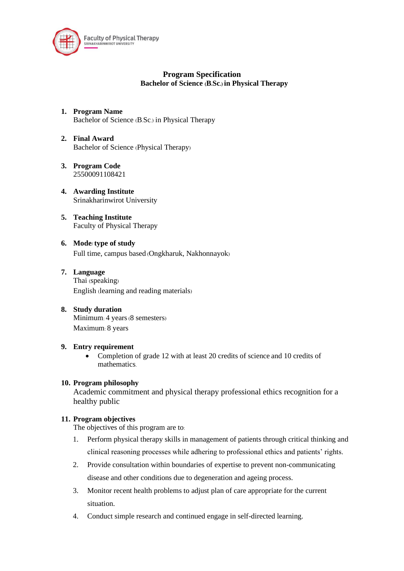

# **Program Specification Bachelor of Science (B.Sc.) in Physical Therapy**

- **1. Program Name** Bachelor of Science (B.Sc.) in Physical Therapy
- **2. Final Award** Bachelor of Science (Physical Therapy)
- **3. Program Code** 25500091108421
- **4. Awarding Institute** Srinakharinwirot University
- **5. Teaching Institute** Faculty of Physical Therapy
- **6. Mode/type of study** Full time, campus based (Ongkharuk, Nakhonnayok)
- **7. Language** Thai (speaking) English (learning and reading materials)
- **8. Study duration** Minimum: 4 years (8 semesters) Maximum: 8 years

### **9. Entry requirement**

• Completion of grade 12 with at least 20 credits of science and 10 credits of mathematics.

### **10. Program philosophy**

Academic commitment and physical therapy professional ethics recognition for a healthy public

### **11. Program objectives**

The objectives of this program are to:

- 1. Perform physical therapy skills in management of patients through critical thinking and clinical reasoning processes while adhering to professional ethics and patients' rights.
- 2. Provide consultation within boundaries of expertise to prevent non-communicating disease and other conditions due to degeneration and ageing process.
- 3. Monitor recent health problems to adjust plan of care appropriate for the current situation.
- 4. Conduct simple research and continued engage in self-directed learning.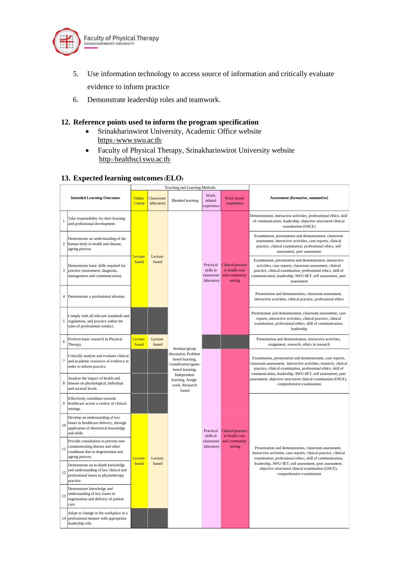

- 5. Use information technology to access source of information and critically evaluate evidence to inform practice
- 6. Demonstrate leadership roles and teamwork.

### **12. Reference points used to inform the program specification**

- Srinakharinwirot University, Academic Office website https://[www](https://www.swu.ac.th/).swu.ac.th[/](https://www.swu.ac.th/)
- Faculty of Physical Therapy, Srinakharinwirot University website http://[healthsci](http://healthsci.swu.ac.th/).swu.ac.t[h](http://healthsci.swu.ac.th/)/

### **13. Expected learning outcomes(ELO)**

|                |                                                                                                                                  |                  |                          | Teaching and Learning Methods                                                                    |                                                    |                                                                        |                                                                                                                                                                                                                                                                  |  |  |  |  |  |  |
|----------------|----------------------------------------------------------------------------------------------------------------------------------|------------------|--------------------------|--------------------------------------------------------------------------------------------------|----------------------------------------------------|------------------------------------------------------------------------|------------------------------------------------------------------------------------------------------------------------------------------------------------------------------------------------------------------------------------------------------------------|--|--|--|--|--|--|
|                | <b>Intended Learning Outcomes</b>                                                                                                | Online<br>Course | Classroom/<br>laboratory | <b>Blended</b> learning                                                                          | Work-<br>related<br>experience                     | Work-based<br>experience                                               | Assessment (formative, summative)                                                                                                                                                                                                                                |  |  |  |  |  |  |
| 1              | Take responsibility for their learning<br>and professional development.                                                          |                  |                          |                                                                                                  |                                                    |                                                                        | Demonstration, interactive activities, professtional ethics, skill<br>of communication, leadership, objective structured clinical<br>examination (OSCE)                                                                                                          |  |  |  |  |  |  |
| $\overline{c}$ | Demonstrate an understanding of the<br>human body in health and disease,<br>ageing process.                                      | Lecture<br>based | Lecture                  |                                                                                                  |                                                    |                                                                        | Examination, presentation and demonstration, classroom<br>assessment, interactive activities, case reports, clinical<br>practice, clinical examination, professional ethics, self<br>assessment, peer assessment                                                 |  |  |  |  |  |  |
| 3              | Demonstrate basic skills required for<br>practice (assessment, diagnosis,<br>management and communication).                      |                  | based                    |                                                                                                  | Practical<br>skills in<br>classroom/<br>laboratory | <b>Clinical practice</b><br>in health care<br>and community<br>setting | Examination, presentation and demonstration, interactive<br>activities, case reports, classroom assessment, clinical<br>practice, clinical examination, professional ethics, skill of<br>communication, leadership, SWU-SET, self assessment, peer<br>assessment |  |  |  |  |  |  |
| 4              | Demonstrate a professional altruism.                                                                                             |                  |                          |                                                                                                  |                                                    |                                                                        | Presentation and demonstration, classroom assessment,<br>interactive activities, clinical practice, professional ethics                                                                                                                                          |  |  |  |  |  |  |
| 5              | Comply with all relevant standards and<br>regulations, and practice within the<br>rules of professional conduct.                 |                  |                          |                                                                                                  |                                                    |                                                                        | Presentation and demonstration, classroom assessment, case<br>reports, interactive activities, clinical practice, clinical<br>examination, professional ethics, skill of communication,<br>leadership                                                            |  |  |  |  |  |  |
| 6              | Perform basic research in Physical<br>Therapy.                                                                                   | Lecture<br>based | Lecture<br>based         |                                                                                                  |                                                    |                                                                        | Presentation and demonstration, interactive activities,<br>assignment, research, ethics in research                                                                                                                                                              |  |  |  |  |  |  |
| 7              | Critically analyze and evaluate clinical<br>and academic resources of evidence in<br>order to inform practice.                   |                  |                          | Seminar/group<br>discussion, Problem<br>based learning,<br>Gamification/game-<br>based learning, |                                                    |                                                                        | Examination, presentation and demonstration, case reports,<br>classroom assessment, interactive activities, research, clinical<br>practice, clinical examination, professional ethics, skill of<br>communication, leadership, SWU-SET, self assessment, peer     |  |  |  |  |  |  |
| 8              | Analyze the impact of health and<br>disease on physiological, individual<br>and societal levels.                                 |                  |                          | Independent<br>learning, Assign<br>work, Research<br>based                                       |                                                    |                                                                        | assessment, objective structured clinical examination (OSCE),<br>comprehensive examination                                                                                                                                                                       |  |  |  |  |  |  |
| 9              | Effectively contribute towards<br>healthcare across a variety of clinical<br>settings.                                           |                  |                          |                                                                                                  |                                                    |                                                                        |                                                                                                                                                                                                                                                                  |  |  |  |  |  |  |
| 10             | Develop an understanding of key<br>issues in healthcare delivery, through<br>application of theoretical knowledge<br>and skills. |                  |                          |                                                                                                  | Practical<br>skills in                             | Clinical practice<br>in health care                                    |                                                                                                                                                                                                                                                                  |  |  |  |  |  |  |
| 11             | Provide consultation to prevent non-<br>communicating disease and other<br>conditions due to degeneration and<br>ageing process. | Lecture          | Lecture                  |                                                                                                  | classroom/<br>laboratory                           | and community<br>setting                                               | Presentation and demonstration, classroom assessment,<br>interactive activities, case reports, clinical practice, clinical<br>examination, professional ethics, skill of communication,                                                                          |  |  |  |  |  |  |
| 12             | Demonstrate an in-depth knowledge<br>and understanding of key clinical and<br>professional issues in physiotherapy<br>practice.  | based            | based                    |                                                                                                  |                                                    |                                                                        | leadership, SWU-SET, self assessment, peer assessment,<br>objective structured clinical examination (OSCE),<br>comprehensive examination                                                                                                                         |  |  |  |  |  |  |
| 13             | Demonstrate knowledge and<br>understanding of key issues in<br>organization and delivery of patient<br>care.                     |                  |                          |                                                                                                  |                                                    |                                                                        |                                                                                                                                                                                                                                                                  |  |  |  |  |  |  |
| 14             | Adapt to change in the workplace in a<br>professional manner with appropriate<br>leadership role.                                |                  |                          |                                                                                                  |                                                    |                                                                        |                                                                                                                                                                                                                                                                  |  |  |  |  |  |  |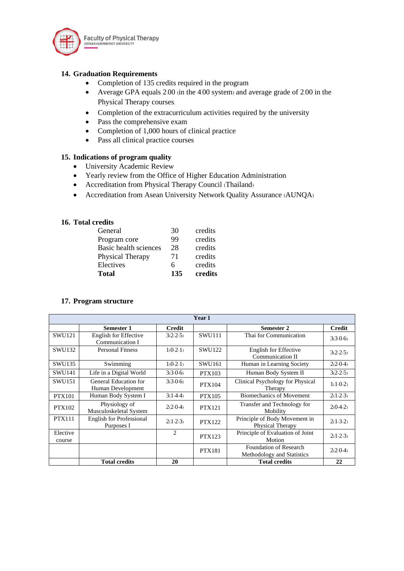

# **14. Graduation Requirements**

- Completion of 135 credits required in the program
- Average GPA equals 2.00 (in the 4.00 system) and average grade of 2.00 in the Physical Therapy courses.
- Completion of the extracurriculum activities required by the university
- Pass the comprehensive exam
- Completion of 1,000 hours of clinical practice
- Pass all clinical practice courses

# **15. Indications of program quality**

- University Academic Review
- Yearly review from the Office of Higher Education Administration
- Accreditation from Physical Therapy Council (Thailand)
- Accreditation from Asean University Network Quality Assurance (AUNQA)

### **16. Total credits**

| Electives<br><b>Total</b> | 6<br>135 | credits<br>credits |
|---------------------------|----------|--------------------|
| Physical Therapy          | 71       | credits            |
| Basic health sciences     | 28       | credits            |
| Program core              | 99       | credits            |
| General                   | 30       | credits            |

### **17. Program structure**

| Year 1             |                                               |               |               |                                                      |               |  |  |  |  |  |  |  |  |
|--------------------|-----------------------------------------------|---------------|---------------|------------------------------------------------------|---------------|--|--|--|--|--|--|--|--|
|                    | Semester 1                                    | <b>Credit</b> |               | Semester 2                                           | <b>Credit</b> |  |  |  |  |  |  |  |  |
| SWU121             | English for Effective<br>Communication I      | $3(2-2-5)$    | <b>SWU111</b> | Thai for Communication                               | $3(3-0-6)$    |  |  |  |  |  |  |  |  |
| <b>SWU132</b>      | <b>Personal Fitness</b>                       | $1(0-2-1)$    | <b>SWU122</b> | English for Effective<br>Communication II            | $3(2-2-5)$    |  |  |  |  |  |  |  |  |
| SWU135             | Swimming                                      | $1(0-2-1)$    | <b>SWU161</b> | Human in Learning Society                            | $2(2-0-4)$    |  |  |  |  |  |  |  |  |
| <b>SWU141</b>      | Life in a Digital World                       | $3(3-0-6)$    | <b>PTX103</b> | Human Body System II                                 | $3(2-2-5)$    |  |  |  |  |  |  |  |  |
| SWU151             | General Education for<br>Human Development    | $3(3-0-6)$    | <b>PTX104</b> | Clinical Psychology for Physical<br>Therapy          | $1(1-0-2)$    |  |  |  |  |  |  |  |  |
| <b>PTX101</b>      | Human Body System I                           | $3(1-4-4)$    | PTX105        | <b>Biomechanics of Movement</b>                      | $2(1-2-3)$    |  |  |  |  |  |  |  |  |
| <b>PTX102</b>      | Physiology of<br>Musculoskeletal System       | $2(2-0-4)$    | <b>PTX121</b> | Transfer and Technology for<br>Mobility              | $2(0-4-2)$    |  |  |  |  |  |  |  |  |
| <b>PTX111</b>      | <b>English for Professional</b><br>Purposes I | $2(1-2-3)$    | <b>PTX122</b> | Principle of Body Movement in<br>Physical Therapy    | $2(1-3-2)$    |  |  |  |  |  |  |  |  |
| Elective<br>course |                                               | 2             | <b>PTX123</b> | Principle of Evaluation of Joint<br>Motion           | $2(1-2-3)$    |  |  |  |  |  |  |  |  |
|                    |                                               |               | <b>PTX181</b> | Foundation of Research<br>Methodology and Statistics | $2(2-0-4)$    |  |  |  |  |  |  |  |  |
|                    | <b>Total credits</b>                          | 20            |               | <b>Total credits</b>                                 | 22            |  |  |  |  |  |  |  |  |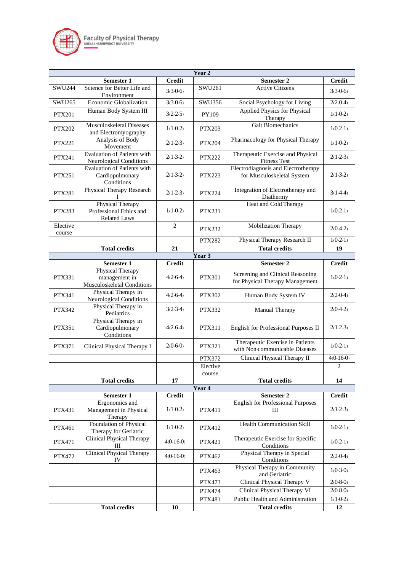

| Year <sub>2</sub>                                                             |                                                                    |                |               |                                                                     |               |  |  |  |  |  |  |  |
|-------------------------------------------------------------------------------|--------------------------------------------------------------------|----------------|---------------|---------------------------------------------------------------------|---------------|--|--|--|--|--|--|--|
|                                                                               | Semester 1                                                         | <b>Credit</b>  |               | <b>Semester 2</b>                                                   | <b>Credit</b> |  |  |  |  |  |  |  |
| SWU244                                                                        | Science for Better Life and<br>Environment                         | $3(3-0-6)$     | SWU261        | <b>Active Citizens</b>                                              | $3(3-0-6)$    |  |  |  |  |  |  |  |
| SWU265                                                                        | Economic Globalization                                             | $3(3-0-6)$     | SWU356        | Social Psychology for Living                                        | $2(2-0-4)$    |  |  |  |  |  |  |  |
| PTX201                                                                        | Human Body System III                                              | $3(2-2-5)$     | PY109         | Applied Physics for Physical<br>Therapy                             | $1(1-0-2)$    |  |  |  |  |  |  |  |
| <b>PTX202</b>                                                                 | <b>Musculoskeletal Diseases</b><br>and Electromyography            | $1(1-0-2)$     | <b>PTX203</b> | Gait Biomechanics                                                   | $1(0-2-1)$    |  |  |  |  |  |  |  |
| <b>PTX221</b>                                                                 | Analysis of Body<br>Movement                                       | $2(1-2-3)$     | <b>PTX204</b> | Pharmacology for Physical Therapy                                   | $1(1-0-2)$    |  |  |  |  |  |  |  |
| <b>PTX241</b>                                                                 | Evaluation of Patients with<br><b>Neurological Conditions</b>      | $2(1-3-2)$     | <b>PTX222</b> | Therapeutic Exercise and Physical<br><b>Fitness Test</b>            | $2(1-2-3)$    |  |  |  |  |  |  |  |
| Evaluation of Patients with<br><b>PTX251</b><br>Cardiopulmonary<br>Conditions |                                                                    | $2(1-3-2)$     | <b>PTX223</b> | Electrodiagnosis and Electrotherapy<br>for Musculoskeletal System   | $2(1-3-2)$    |  |  |  |  |  |  |  |
| <b>PTX281</b>                                                                 | Physical Therapy Research                                          | $2(1-2-3)$     | <b>PTX224</b> | Integration of Electrotherapy and<br>Diathermy                      | $3(1-4-4)$    |  |  |  |  |  |  |  |
| <b>PTX283</b>                                                                 | Physical Therapy<br>Professional Ethics and<br><b>Related Laws</b> | $1(1-0-2)$     | <b>PTX231</b> | Heat and Cold Therapy                                               | $1(0-2-1)$    |  |  |  |  |  |  |  |
| Elective<br>course                                                            |                                                                    | $\overline{2}$ | <b>PTX232</b> | Mobilization Therapy                                                | $2(0-4-2)$    |  |  |  |  |  |  |  |
|                                                                               |                                                                    |                | <b>PTX282</b> | Physical Therapy Research II                                        | $1(0-2-1)$    |  |  |  |  |  |  |  |
|                                                                               | <b>Total credits</b>                                               | 21             |               | <b>Total credits</b>                                                | 19            |  |  |  |  |  |  |  |
| Year 3                                                                        |                                                                    |                |               |                                                                     |               |  |  |  |  |  |  |  |
|                                                                               | Semester 1<br>Physical Therapy                                     | <b>Credit</b>  | <b>PTX301</b> | Semester 2                                                          | <b>Credit</b> |  |  |  |  |  |  |  |
| <b>PTX331</b>                                                                 | management in<br>Musculoskeletal Conditions                        | $4(2-6-4)$     |               | Screening and Clinical Reasoning<br>for Physical Therapy Management | $1(0-2-1)$    |  |  |  |  |  |  |  |
| PTX341                                                                        | Physical Therapy in<br>Neurological Conditions                     | $4(2-6-4)$     | <b>PTX302</b> | Human Body System IV                                                | $2(2-0-4)$    |  |  |  |  |  |  |  |
| <b>PTX342</b>                                                                 | Physical Therapy in<br>Pediatrics                                  | $3(2-3-4)$     | <b>PTX332</b> | Manual Therapy                                                      | $2(0-4-2)$    |  |  |  |  |  |  |  |
| <b>PTX351</b>                                                                 | Physical Therapy in<br>Cardiopulmonary<br>Conditions               | $4(2-6-4)$     | PTX311        | English for Professional Purposes II                                | $2(1-2-3)$    |  |  |  |  |  |  |  |
| <b>PTX371</b>                                                                 | Clinical Physical Therapy I                                        | $2(0-6-0)$     | <b>PTX321</b> | Therapeutic Exercise in Patients<br>with Non-communicable Diseases  | $1(0-2-1)$    |  |  |  |  |  |  |  |
|                                                                               |                                                                    |                | <b>PTX372</b> | Clinical Physical Therapy II                                        | $4(0.16-0)$   |  |  |  |  |  |  |  |
|                                                                               |                                                                    |                | Elective      |                                                                     | 2             |  |  |  |  |  |  |  |
|                                                                               |                                                                    |                | course        |                                                                     |               |  |  |  |  |  |  |  |
|                                                                               | <b>Total credits</b>                                               | 17             | Year 4        | <b>Total credits</b>                                                | 14            |  |  |  |  |  |  |  |
|                                                                               | Semester 1                                                         | <b>Credit</b>  |               | Semester 2                                                          | <b>Credit</b> |  |  |  |  |  |  |  |
| <b>PTX431</b>                                                                 | Ergonomics and<br>Management in Physical                           | $1(1-0-2)$     | PTX411        | <b>English for Professional Purposes</b><br>Ш                       | $2(1-2-3)$    |  |  |  |  |  |  |  |
| PTX461                                                                        | Therapy<br>Foundation of Physical<br>Therapy for Geriatric         | $1(1-0-2)$     | PTX412        | Health Communication Skill                                          | $1(0-2-1)$    |  |  |  |  |  |  |  |
| PTX471                                                                        | <b>Clinical Physical Therapy</b><br>Ш                              | $4(0-16-0)$    | PTX421        | Therapeutic Exercise for Specific<br>Conditions                     | $1(0-2-1)$    |  |  |  |  |  |  |  |
| <b>PTX472</b>                                                                 | <b>Clinical Physical Therapy</b><br>IV                             | $4(0-16-0)$    | <b>PTX462</b> | Physical Therapy in Special<br>Conditions                           | $2(2-0-4)$    |  |  |  |  |  |  |  |
|                                                                               |                                                                    |                | <b>PTX463</b> | Physical Therapy in Community<br>and Geriatric                      | $1(0-3-0)$    |  |  |  |  |  |  |  |
|                                                                               |                                                                    |                | PTX473        | Clinical Physical Therapy V                                         | $2(0-8-0)$    |  |  |  |  |  |  |  |
|                                                                               |                                                                    |                | <b>PTX474</b> | Clinical Physical Therapy VI                                        | $2(0-8-0)$    |  |  |  |  |  |  |  |
|                                                                               |                                                                    |                | PTX481        | Public Health and Administration                                    | $1(1-0-2)$    |  |  |  |  |  |  |  |
|                                                                               | <b>Total credits</b>                                               | 10             |               | <b>Total credits</b>                                                | 12            |  |  |  |  |  |  |  |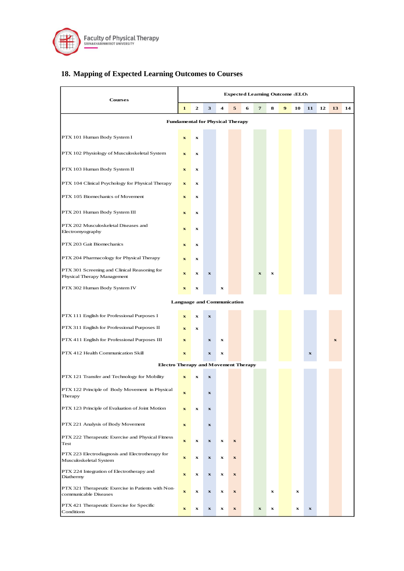

# **18. Mapping of Expected Learning Outcomes to Courses**

| <b>Courses</b>                                                              |                                   | <b>Expected Learning Outcome (ELO)</b> |                           |                         |                           |   |              |             |   |         |             |    |             |    |
|-----------------------------------------------------------------------------|-----------------------------------|----------------------------------------|---------------------------|-------------------------|---------------------------|---|--------------|-------------|---|---------|-------------|----|-------------|----|
|                                                                             |                                   | $\mathbf{2}$                           | 3                         | $\overline{\mathbf{4}}$ | 5                         | 6 | 7            | 8           | 9 | 10      | 11          | 12 | 13          | 14 |
| <b>Fundamental for Physical Therapy</b>                                     |                                   |                                        |                           |                         |                           |   |              |             |   |         |             |    |             |    |
| PTX 101 Human Body System I                                                 | $\mathbf x$                       | $\bf x$                                |                           |                         |                           |   |              |             |   |         |             |    |             |    |
| PTX 102 Physiology of Musculoskeletal System                                | $\mathbf x$                       | $\bf x$                                |                           |                         |                           |   |              |             |   |         |             |    |             |    |
| PTX 103 Human Body System II                                                | $\mathbf x$                       | x                                      |                           |                         |                           |   |              |             |   |         |             |    |             |    |
| PTX 104 Clinical Psychology for Physical Therapy                            | $\mathbf x$                       | $\bf x$                                |                           |                         |                           |   |              |             |   |         |             |    |             |    |
| PTX 105 Biomechanics of Movement                                            | $\mathbf{x}$                      | $\bf x$                                |                           |                         |                           |   |              |             |   |         |             |    |             |    |
| PTX 201 Human Body System III                                               |                                   | $\bf x$                                |                           |                         |                           |   |              |             |   |         |             |    |             |    |
| PTX 202 Musculoskeletal Diseases and<br>Electromyography                    | $\mathbf{x}$                      | x                                      |                           |                         |                           |   |              |             |   |         |             |    |             |    |
| PTX 203 Gait Biomechanics                                                   | $\mathbf{x}$                      | x                                      |                           |                         |                           |   |              |             |   |         |             |    |             |    |
| PTX 204 Pharmacology for Physical Therapy                                   | $\mathbf x$                       | $\bf x$                                |                           |                         |                           |   |              |             |   |         |             |    |             |    |
| PTX 301 Screening and Clinical Reasoning for<br>Physical Therapy Management | $\mathbf{x}$                      | x                                      | $\boldsymbol{\mathrm{x}}$ |                         |                           |   | $\mathbf{x}$ | $\mathbf x$ |   |         |             |    |             |    |
| PTX 302 Human Body System IV                                                | $\mathbf x$                       | $\bf x$                                |                           | $\bf x$                 |                           |   |              |             |   |         |             |    |             |    |
|                                                                             | <b>Language and Communication</b> |                                        |                           |                         |                           |   |              |             |   |         |             |    |             |    |
| PTX 111 English for Professional Purposes I                                 | $\mathbf x$                       | $\bf x$                                | $\boldsymbol{\mathrm{x}}$ |                         |                           |   |              |             |   |         |             |    |             |    |
| PTX 311 English for Professional Purposes II                                | $\mathbf x$                       | $\bf{x}$                               |                           |                         |                           |   |              |             |   |         |             |    |             |    |
| PTX 411 English for Professional Purposes III                               | $\mathbf x$                       |                                        | $\boldsymbol{\mathrm{x}}$ | $\bf x$                 |                           |   |              |             |   |         |             |    | $\mathbf x$ |    |
| PTX 412 Health Communication Skill                                          | $\mathbf x$                       |                                        | $\mathbf x$               | $\bf{x}$                |                           |   |              |             |   |         | $\mathbf x$ |    |             |    |
| <b>Electro Therapy and Movement Therapy</b>                                 |                                   |                                        |                           |                         |                           |   |              |             |   |         |             |    |             |    |
| PTX 121 Transfer and Technology for Mobility                                | $\mathbf{x}$                      | $\mathbf x$                            | $\mathbf{x}$              |                         |                           |   |              |             |   |         |             |    |             |    |
| PTX 122 Principle of Body Movement in Physical<br>Therapy                   | $\boldsymbol{\mathrm{x}}$         |                                        | $\boldsymbol{\mathrm{x}}$ |                         |                           |   |              |             |   |         |             |    |             |    |
| PTX 123 Principle of Evaluation of Joint Motion                             | $\mathbf x$                       | $\bf x$                                | $\bf x$                   |                         |                           |   |              |             |   |         |             |    |             |    |
| PTX 221 Analysis of Body Movement                                           | $\bf x$                           |                                        | $\bf x$                   |                         |                           |   |              |             |   |         |             |    |             |    |
| PTX 222 Therapeutic Exercise and Physical Fitness<br>Test                   | $\mathbf x$                       | $\bf x$                                | $\boldsymbol{\mathrm{x}}$ | $\bf x$                 | $\mathbf x$               |   |              |             |   |         |             |    |             |    |
| PTX 223 Electrodiagnosis and Electrotherapy for<br>Musculoskeletal System   | $\mathbf x$                       | $\bf x$                                | $\boldsymbol{\mathrm{x}}$ | $\bf x$                 | $\mathbf x$               |   |              |             |   |         |             |    |             |    |
| PTX 224 Integration of Electrotherapy and<br>Diathermy                      | $\bf x$                           | $\bf x$                                | $\bf x$                   | $\bf x$                 | $\bf x$                   |   |              |             |   |         |             |    |             |    |
| PTX 321 Therapeutic Exercise in Patients with Non-<br>communicable Diseases | $\mathbf x$                       | $\bf x$                                | $\mathbf x$               | $\bf x$                 | $\mathbf x$               |   |              | x           |   | $\bf x$ |             |    |             |    |
| PTX 421 Therapeutic Exercise for Specific<br>Conditions                     | $\bf x$                           | $\bf x$                                | $\mathbf x$               | $\bf x$                 | $\boldsymbol{\mathrm{x}}$ |   | $\mathbf x$  | x           |   | $\bf x$ | $\mathbf x$ |    |             |    |